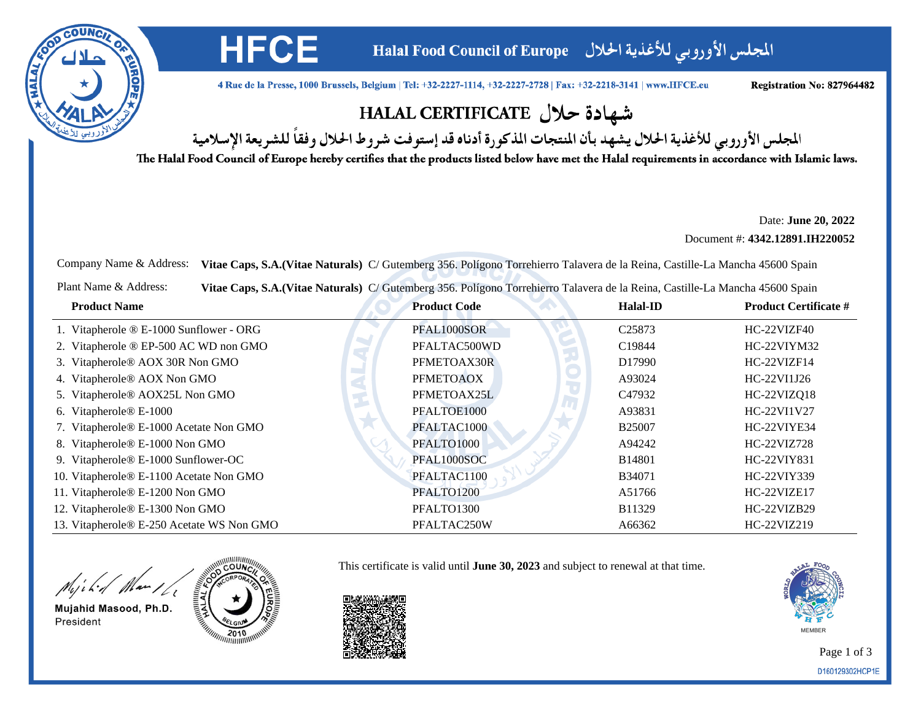

المجلس الأوروبي للأغذية الحلال Halal Food Council of Europe

4 Rue de la Presse, 1000 Brussels, Belgium | Tel: +32-2227-1114, +32-2227-2728 | Fax: +32-2218-3141 | www.HFCE.eu

Registration No: 827964482

## شهادة حلال HALAL CERTIFICATE

المجلس الأوروبي للأغذية الحلال يشهد بأن المنتجات المذكورة أدناه قد إستوفت شروط الحلال وفقاً للشريعة الإسلامية

The Halal Food Council of Europe hereby certifies that the products listed below have met the Halal requirements in accordance with Islamic laws.

Date: **June 20, 2022**

Document #: **4342.12891.IH220052**

Company Name & Address: **Vitae Caps, S.A.(Vitae Naturals)** C/ Gutemberg 356. Polígono Torrehierro Talavera de la Reina, Castille-La Mancha 45600 Spain

Plant Name & Address:**Vitae Caps, S.A.(Vitae Naturals)** C/ Gutemberg 356. Polígono Torrehierro Talavera de la Reina, Castille-La Mancha 45600 Spain

| <b>Product Name</b>                       | <b>Product Code</b> | <b>Halal-ID</b>    | <b>Product Certificate #</b> |
|-------------------------------------------|---------------------|--------------------|------------------------------|
| 1. Vitapherole ® E-1000 Sunflower - ORG   | PFAL1000SOR         | C <sub>25873</sub> | HC-22VIZF40                  |
| 2. Vitapherole ® EP-500 AC WD non GMO     | PFALTAC500WD        | C19844             | HC-22VIYM32                  |
| 3. Vitapherole® AOX 30R Non GMO           | PFMETOAX30R         | D <sub>17990</sub> | HC-22VIZF14                  |
| 4. Vitapherole® AOX Non GMO               | <b>PFMETOAOX</b>    | A93024             | HC-22VI1J26                  |
| 5. Vitapherole® AOX25L Non GMO            | PFMETOAX25L         | C <sub>47932</sub> | HC-22VIZQ18                  |
| 6. Vitapherole <sup>®</sup> E-1000        | PFALTOE1000         | A93831             | HC-22VI1V27                  |
| 7. Vitapherole® E-1000 Acetate Non GMO    | PFALTAC1000         | <b>B25007</b>      | HC-22VIYE34                  |
| 8. Vitapherole® E-1000 Non GMO            | PFALTO1000          | A94242             | HC-22VIZ728                  |
| 9. Vitapherole® E-1000 Sunflower-OC       | PFAL1000SOC         | <b>B14801</b>      | HC-22VIY831                  |
| 10. Vitapherole® E-1100 Acetate Non GMO   | PFALTAC1100         | <b>B34071</b>      | HC-22VIY339                  |
| 11. Vitapherole® E-1200 Non GMO           | PFALTO1200          | A51766             | HC-22VIZE17                  |
| 12. Vitapherole® E-1300 Non GMO           | PFALTO1300          | B11329             | HC-22VIZB29                  |
| 13. Vitapherole® E-250 Acetate WS Non GMO | PFALTAC250W         | A66362             | HC-22VIZ219                  |

Wild Mar 16

Mujahid Masood, Ph.D. President



**HFCE** 

This certificate is valid until **June 30, 2023** and subject to renewal at that time.



Page 1 of 3D160129302HCP1E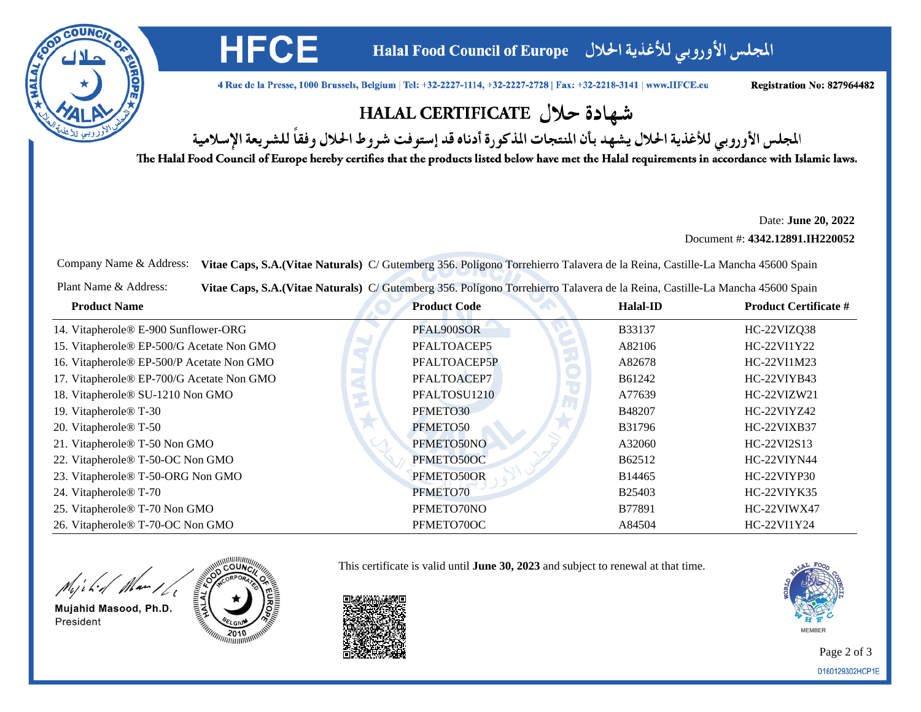

المجلس الأوروبي للأغذية الحلال Halal Food Council of Europe

4 Rue de la Presse, 1000 Brussels, Belgium | Tel: +32-2227-1114, +32-2227-2728 | Fax: +32-2218-3141 | www.HFCE.eu

Registration No: 827964482

## شهادة حلال HALAL CERTIFICATE

المجلس الأوروبي للأغذية الحلال يشهد بأن المنتجات المذكورة أدناه قد إستوفت شروط الحلال وفقاً للشريعة الإسلامية

The Halal Food Council of Europe hereby certifies that the products listed below have met the Halal requirements in accordance with Islamic laws.

Date: **June 20, 2022**

Document #: **4342.12891.IH220052**

Company Name & Address: **Vitae Caps, S.A.(Vitae Naturals)** C/ Gutemberg 356. Polígono Torrehierro Talavera de la Reina, Castille-La Mancha 45600 Spain

Plant Name & Address:**Vitae Caps, S.A.(Vitae Naturals)** C/ Gutemberg 356. Polígono Torrehierro Talavera de la Reina, Castille-La Mancha 45600 Spain

| <b>Product Name</b>                       | <b>Product Code</b> | <b>Halal-ID</b> | <b>Product Certificate #</b> |
|-------------------------------------------|---------------------|-----------------|------------------------------|
| 14. Vitapherole® E-900 Sunflower-ORG      | PFAL900SOR          | <b>B33137</b>   | HC-22VIZQ38                  |
| 15. Vitapherole® EP-500/G Acetate Non GMO | PFALTOACEP5         | A82106          | HC-22VI1Y22                  |
| 16. Vitapherole® EP-500/P Acetate Non GMO | PFALTOACEP5P        | A82678          | HC-22VI1M23                  |
| 17. Vitapherole® EP-700/G Acetate Non GMO | PFALTOACEP7         | B61242          | HC-22VIYB43                  |
| 18. Vitapherole® SU-1210 Non GMO          | PFALTOSU1210        | A77639          | HC-22VIZW21                  |
| 19. Vitapherole <sup>®</sup> T-30         | PFMETO30            | B48207          | HC-22VIYZ42                  |
| 20. Vitapherole <sup>®</sup> T-50         | PFMETO50            | B31796          | HC-22VIXB37                  |
| 21. Vitapherole® T-50 Non GMO             | PFMETO50NO          | A32060          | HC-22VI2S13                  |
| 22. Vitapherole® T-50-OC Non GMO          | PFMETO50OC          | B62512          | HC-22VIYN44                  |
| 23. Vitapherole® T-50-ORG Non GMO         | PFMETO50OR          | B14465          | HC-22VIYP30                  |
| 24. Vitapherole <sup>®</sup> T-70         | PFMETO70            | <b>B25403</b>   | HC-22VIYK35                  |
| 25. Vitapherole® T-70 Non GMO             | PFMETO70NO          | B77891          | HC-22VIWX47                  |
| 26. Vitapherole® T-70-OC Non GMO          | PFMETO70OC          | A84504          | HC-22VI1Y24                  |

Wild Mar 16

Mujahid Masood, Ph.D. President



**HFCE** 

This certificate is valid until **June 30, 2023** and subject to renewal at that time.



Page 2 of 3D160129302HCP1E